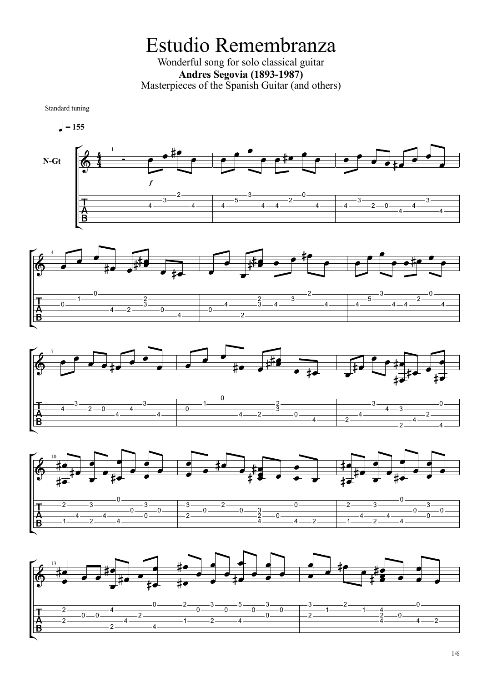Estudio Remembranza

Wonderful song for solo classical guitar **Andres Segovia (1893-1987)** Masterpieces of the Spanish Guitar (and others)

Standard tuning











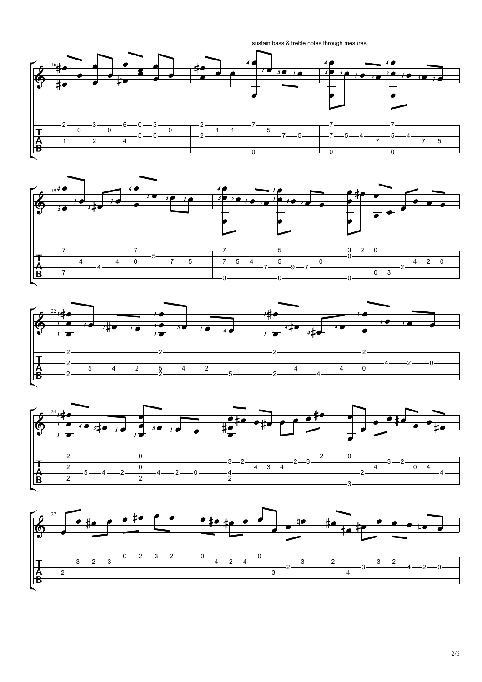







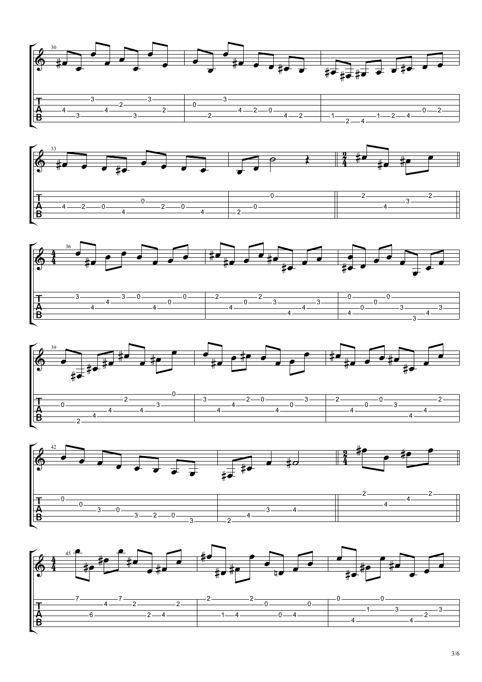









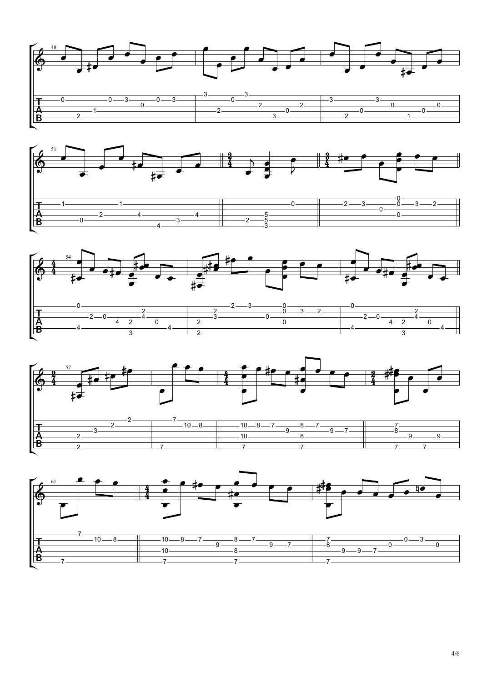









4/6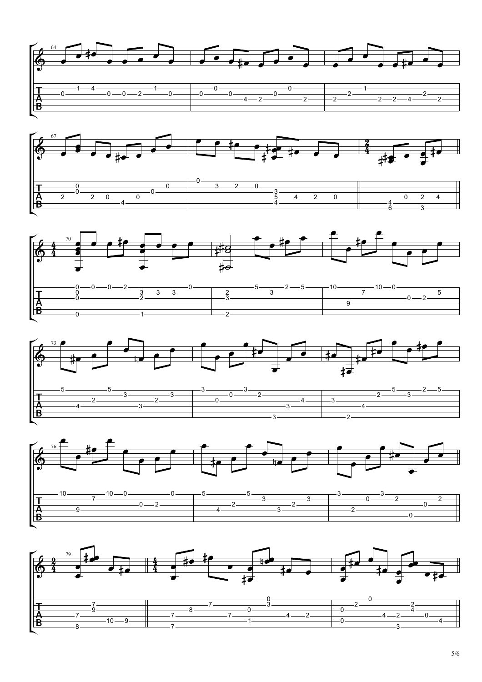